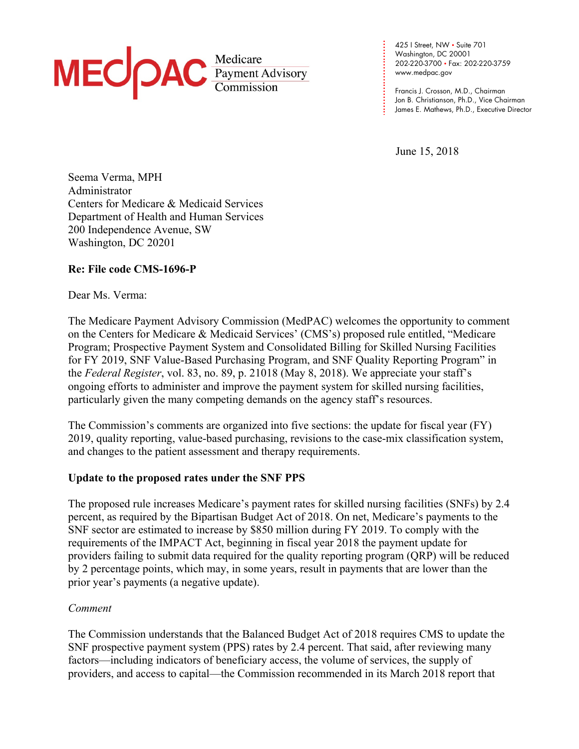

**. . . . .**  www.medpac.gov 425 I Street, NW • Suite 701 Washington, DC 20001 202-220-3700 • Fax: 202-220-3759

Francis J. Crosson, M.D., Chairman Jon B. Christianson, Ph.D., Vice Chairman James E. Mathews, Ph.D., Executive Director

June 15, 2018

**. . . . . . . . .** 

**. . . . . . . . . . . .**

Seema Verma, MPH Administrator Centers for Medicare & Medicaid Services Department of Health and Human Services 200 Independence Avenue, SW Washington, DC 20201

# **Re: File code CMS-1696-P**

### Dear Ms. Verma:

The Medicare Payment Advisory Commission (MedPAC) welcomes the opportunity to comment on the Centers for Medicare & Medicaid Services' (CMS's) proposed rule entitled, "Medicare Program; Prospective Payment System and Consolidated Billing for Skilled Nursing Facilities for FY 2019, SNF Value-Based Purchasing Program, and SNF Quality Reporting Program" in the *Federal Register*, vol. 83, no. 89, p. 21018 (May 8, 2018). We appreciate your staff's ongoing efforts to administer and improve the payment system for skilled nursing facilities, particularly given the many competing demands on the agency staff's resources.

The Commission's comments are organized into five sections: the update for fiscal year (FY) 2019, quality reporting, value-based purchasing, revisions to the case-mix classification system, and changes to the patient assessment and therapy requirements.

### **Update to the proposed rates under the SNF PPS**

The proposed rule increases Medicare's payment rates for skilled nursing facilities (SNFs) by 2.4 percent, as required by the Bipartisan Budget Act of 2018. On net, Medicare's payments to the SNF sector are estimated to increase by \$850 million during FY 2019. To comply with the requirements of the IMPACT Act, beginning in fiscal year 2018 the payment update for providers failing to submit data required for the quality reporting program (QRP) will be reduced by 2 percentage points, which may, in some years, result in payments that are lower than the prior year's payments (a negative update).

# *Comment*

The Commission understands that the Balanced Budget Act of 2018 requires CMS to update the SNF prospective payment system (PPS) rates by 2.4 percent. That said, after reviewing many factors—including indicators of beneficiary access, the volume of services, the supply of providers, and access to capital—the Commission recommended in its March 2018 report that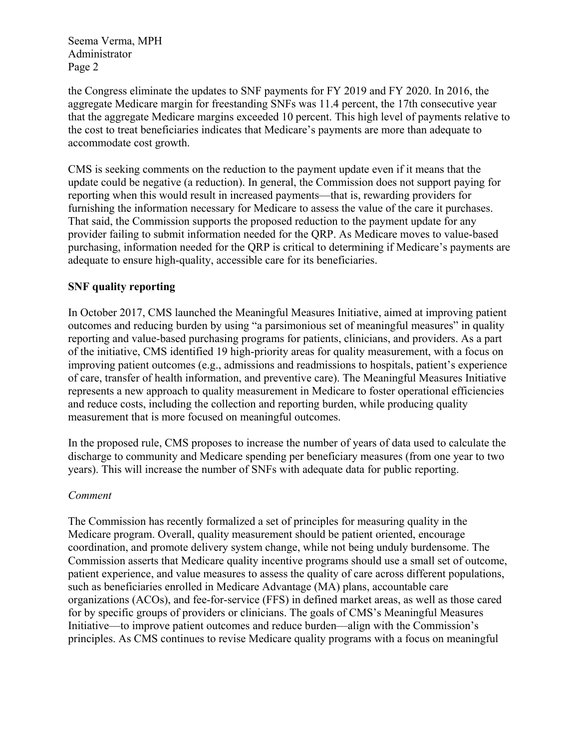the Congress eliminate the updates to SNF payments for FY 2019 and FY 2020. In 2016, the aggregate Medicare margin for freestanding SNFs was 11.4 percent, the 17th consecutive year that the aggregate Medicare margins exceeded 10 percent. This high level of payments relative to the cost to treat beneficiaries indicates that Medicare's payments are more than adequate to accommodate cost growth.

CMS is seeking comments on the reduction to the payment update even if it means that the update could be negative (a reduction). In general, the Commission does not support paying for reporting when this would result in increased payments—that is, rewarding providers for furnishing the information necessary for Medicare to assess the value of the care it purchases. That said, the Commission supports the proposed reduction to the payment update for any provider failing to submit information needed for the QRP. As Medicare moves to value-based purchasing, information needed for the QRP is critical to determining if Medicare's payments are adequate to ensure high-quality, accessible care for its beneficiaries.

# **SNF quality reporting**

In October 2017, CMS launched the Meaningful Measures Initiative, aimed at improving patient outcomes and reducing burden by using "a parsimonious set of meaningful measures" in quality reporting and value-based purchasing programs for patients, clinicians, and providers. As a part of the initiative, CMS identified 19 high-priority areas for quality measurement, with a focus on improving patient outcomes (e.g., admissions and readmissions to hospitals, patient's experience of care, transfer of health information, and preventive care). The Meaningful Measures Initiative represents a new approach to quality measurement in Medicare to foster operational efficiencies and reduce costs, including the collection and reporting burden, while producing quality measurement that is more focused on meaningful outcomes.

In the proposed rule, CMS proposes to increase the number of years of data used to calculate the discharge to community and Medicare spending per beneficiary measures (from one year to two years). This will increase the number of SNFs with adequate data for public reporting.

### *Comment*

The Commission has recently formalized a set of principles for measuring quality in the Medicare program. Overall, quality measurement should be patient oriented, encourage coordination, and promote delivery system change, while not being unduly burdensome. The Commission asserts that Medicare quality incentive programs should use a small set of outcome, patient experience, and value measures to assess the quality of care across different populations, such as beneficiaries enrolled in Medicare Advantage (MA) plans, accountable care organizations (ACOs), and fee-for-service (FFS) in defined market areas, as well as those cared for by specific groups of providers or clinicians. The goals of CMS's Meaningful Measures Initiative—to improve patient outcomes and reduce burden—align with the Commission's principles. As CMS continues to revise Medicare quality programs with a focus on meaningful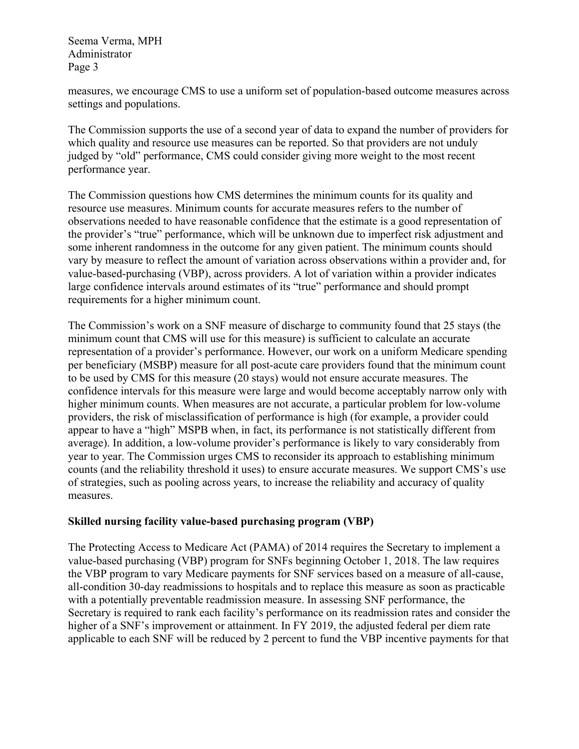measures, we encourage CMS to use a uniform set of population-based outcome measures across settings and populations.

The Commission supports the use of a second year of data to expand the number of providers for which quality and resource use measures can be reported. So that providers are not unduly judged by "old" performance, CMS could consider giving more weight to the most recent performance year.

The Commission questions how CMS determines the minimum counts for its quality and resource use measures. Minimum counts for accurate measures refers to the number of observations needed to have reasonable confidence that the estimate is a good representation of the provider's "true" performance, which will be unknown due to imperfect risk adjustment and some inherent randomness in the outcome for any given patient. The minimum counts should vary by measure to reflect the amount of variation across observations within a provider and, for value-based-purchasing (VBP), across providers. A lot of variation within a provider indicates large confidence intervals around estimates of its "true" performance and should prompt requirements for a higher minimum count.

The Commission's work on a SNF measure of discharge to community found that 25 stays (the minimum count that CMS will use for this measure) is sufficient to calculate an accurate representation of a provider's performance. However, our work on a uniform Medicare spending per beneficiary (MSBP) measure for all post-acute care providers found that the minimum count to be used by CMS for this measure (20 stays) would not ensure accurate measures. The confidence intervals for this measure were large and would become acceptably narrow only with higher minimum counts. When measures are not accurate, a particular problem for low-volume providers, the risk of misclassification of performance is high (for example, a provider could appear to have a "high" MSPB when, in fact, its performance is not statistically different from average). In addition, a low-volume provider's performance is likely to vary considerably from year to year. The Commission urges CMS to reconsider its approach to establishing minimum counts (and the reliability threshold it uses) to ensure accurate measures. We support CMS's use of strategies, such as pooling across years, to increase the reliability and accuracy of quality measures.

# **Skilled nursing facility value-based purchasing program (VBP)**

The Protecting Access to Medicare Act (PAMA) of 2014 requires the Secretary to implement a value-based purchasing (VBP) program for SNFs beginning October 1, 2018. The law requires the VBP program to vary Medicare payments for SNF services based on a measure of all-cause, all-condition 30-day readmissions to hospitals and to replace this measure as soon as practicable with a potentially preventable readmission measure. In assessing SNF performance, the Secretary is required to rank each facility's performance on its readmission rates and consider the higher of a SNF's improvement or attainment. In FY 2019, the adjusted federal per diem rate applicable to each SNF will be reduced by 2 percent to fund the VBP incentive payments for that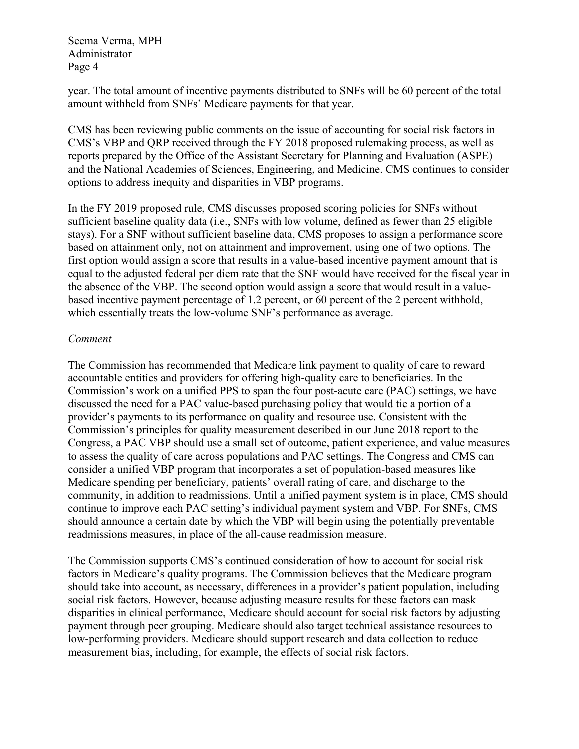year. The total amount of incentive payments distributed to SNFs will be 60 percent of the total amount withheld from SNFs' Medicare payments for that year.

CMS has been reviewing public comments on the issue of accounting for social risk factors in CMS's VBP and QRP received through the FY 2018 proposed rulemaking process, as well as reports prepared by the Office of the Assistant Secretary for Planning and Evaluation (ASPE) and the National Academies of Sciences, Engineering, and Medicine. CMS continues to consider options to address inequity and disparities in VBP programs.

In the FY 2019 proposed rule, CMS discusses proposed scoring policies for SNFs without sufficient baseline quality data (i.e., SNFs with low volume, defined as fewer than 25 eligible stays). For a SNF without sufficient baseline data, CMS proposes to assign a performance score based on attainment only, not on attainment and improvement, using one of two options. The first option would assign a score that results in a value-based incentive payment amount that is equal to the adjusted federal per diem rate that the SNF would have received for the fiscal year in the absence of the VBP. The second option would assign a score that would result in a valuebased incentive payment percentage of 1.2 percent, or 60 percent of the 2 percent withhold, which essentially treats the low-volume SNF's performance as average.

### *Comment*

The Commission has recommended that Medicare link payment to quality of care to reward accountable entities and providers for offering high-quality care to beneficiaries. In the Commission's work on a unified PPS to span the four post-acute care (PAC) settings, we have discussed the need for a PAC value-based purchasing policy that would tie a portion of a provider's payments to its performance on quality and resource use. Consistent with the Commission's principles for quality measurement described in our June 2018 report to the Congress, a PAC VBP should use a small set of outcome, patient experience, and value measures to assess the quality of care across populations and PAC settings. The Congress and CMS can consider a unified VBP program that incorporates a set of population-based measures like Medicare spending per beneficiary, patients' overall rating of care, and discharge to the community, in addition to readmissions. Until a unified payment system is in place, CMS should continue to improve each PAC setting's individual payment system and VBP. For SNFs, CMS should announce a certain date by which the VBP will begin using the potentially preventable readmissions measures, in place of the all-cause readmission measure.

The Commission supports CMS's continued consideration of how to account for social risk factors in Medicare's quality programs. The Commission believes that the Medicare program should take into account, as necessary, differences in a provider's patient population, including social risk factors. However, because adjusting measure results for these factors can mask disparities in clinical performance, Medicare should account for social risk factors by adjusting payment through peer grouping. Medicare should also target technical assistance resources to low-performing providers. Medicare should support research and data collection to reduce measurement bias, including, for example, the effects of social risk factors.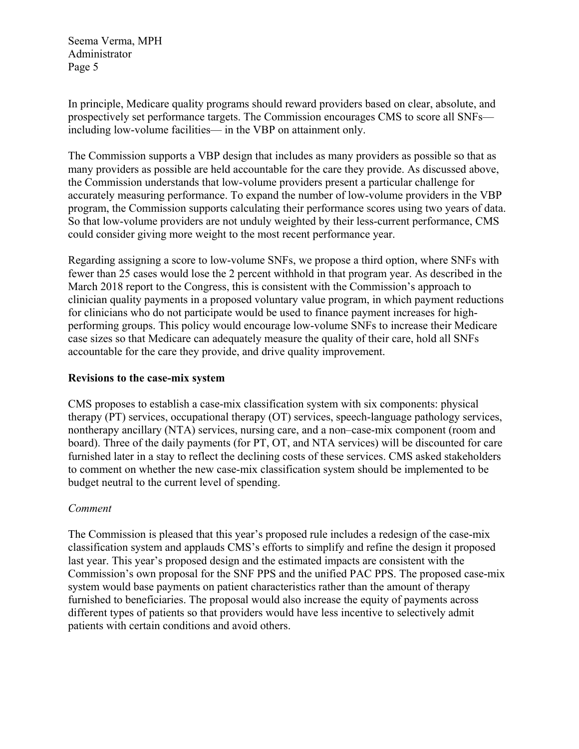In principle, Medicare quality programs should reward providers based on clear, absolute, and prospectively set performance targets. The Commission encourages CMS to score all SNFs including low-volume facilities— in the VBP on attainment only.

The Commission supports a VBP design that includes as many providers as possible so that as many providers as possible are held accountable for the care they provide. As discussed above, the Commission understands that low-volume providers present a particular challenge for accurately measuring performance. To expand the number of low-volume providers in the VBP program, the Commission supports calculating their performance scores using two years of data. So that low-volume providers are not unduly weighted by their less-current performance, CMS could consider giving more weight to the most recent performance year.

Regarding assigning a score to low-volume SNFs, we propose a third option, where SNFs with fewer than 25 cases would lose the 2 percent withhold in that program year. As described in the March 2018 report to the Congress, this is consistent with the Commission's approach to clinician quality payments in a proposed voluntary value program, in which payment reductions for clinicians who do not participate would be used to finance payment increases for highperforming groups. This policy would encourage low-volume SNFs to increase their Medicare case sizes so that Medicare can adequately measure the quality of their care, hold all SNFs accountable for the care they provide, and drive quality improvement.

### **Revisions to the case-mix system**

CMS proposes to establish a case-mix classification system with six components: physical therapy (PT) services, occupational therapy (OT) services, speech-language pathology services, nontherapy ancillary (NTA) services, nursing care, and a non–case-mix component (room and board). Three of the daily payments (for PT, OT, and NTA services) will be discounted for care furnished later in a stay to reflect the declining costs of these services. CMS asked stakeholders to comment on whether the new case-mix classification system should be implemented to be budget neutral to the current level of spending.

# *Comment*

The Commission is pleased that this year's proposed rule includes a redesign of the case-mix classification system and applauds CMS's efforts to simplify and refine the design it proposed last year. This year's proposed design and the estimated impacts are consistent with the Commission's own proposal for the SNF PPS and the unified PAC PPS. The proposed case-mix system would base payments on patient characteristics rather than the amount of therapy furnished to beneficiaries. The proposal would also increase the equity of payments across different types of patients so that providers would have less incentive to selectively admit patients with certain conditions and avoid others.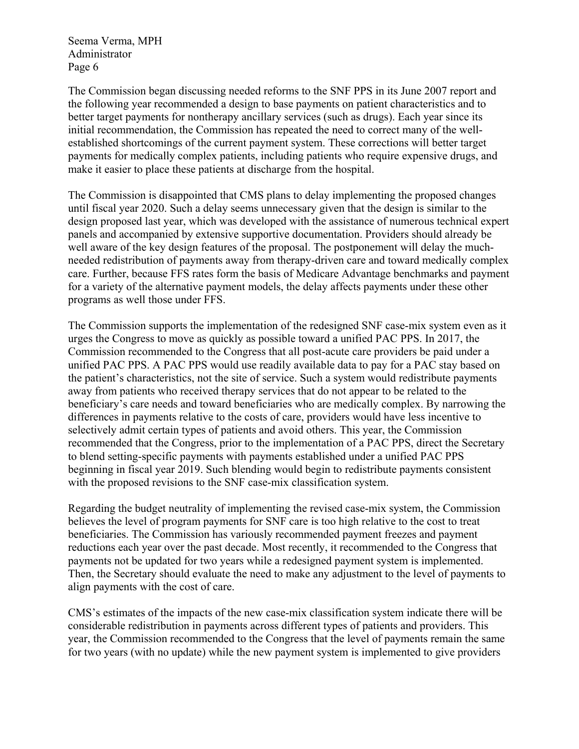The Commission began discussing needed reforms to the SNF PPS in its June 2007 report and the following year recommended a design to base payments on patient characteristics and to better target payments for nontherapy ancillary services (such as drugs). Each year since its initial recommendation, the Commission has repeated the need to correct many of the wellestablished shortcomings of the current payment system. These corrections will better target payments for medically complex patients, including patients who require expensive drugs, and make it easier to place these patients at discharge from the hospital.

The Commission is disappointed that CMS plans to delay implementing the proposed changes until fiscal year 2020. Such a delay seems unnecessary given that the design is similar to the design proposed last year, which was developed with the assistance of numerous technical expert panels and accompanied by extensive supportive documentation. Providers should already be well aware of the key design features of the proposal. The postponement will delay the muchneeded redistribution of payments away from therapy-driven care and toward medically complex care. Further, because FFS rates form the basis of Medicare Advantage benchmarks and payment for a variety of the alternative payment models, the delay affects payments under these other programs as well those under FFS.

The Commission supports the implementation of the redesigned SNF case-mix system even as it urges the Congress to move as quickly as possible toward a unified PAC PPS. In 2017, the Commission recommended to the Congress that all post-acute care providers be paid under a unified PAC PPS. A PAC PPS would use readily available data to pay for a PAC stay based on the patient's characteristics, not the site of service. Such a system would redistribute payments away from patients who received therapy services that do not appear to be related to the beneficiary's care needs and toward beneficiaries who are medically complex. By narrowing the differences in payments relative to the costs of care, providers would have less incentive to selectively admit certain types of patients and avoid others. This year, the Commission recommended that the Congress, prior to the implementation of a PAC PPS, direct the Secretary to blend setting-specific payments with payments established under a unified PAC PPS beginning in fiscal year 2019. Such blending would begin to redistribute payments consistent with the proposed revisions to the SNF case-mix classification system.

Regarding the budget neutrality of implementing the revised case-mix system, the Commission believes the level of program payments for SNF care is too high relative to the cost to treat beneficiaries. The Commission has variously recommended payment freezes and payment reductions each year over the past decade. Most recently, it recommended to the Congress that payments not be updated for two years while a redesigned payment system is implemented. Then, the Secretary should evaluate the need to make any adjustment to the level of payments to align payments with the cost of care.

CMS's estimates of the impacts of the new case-mix classification system indicate there will be considerable redistribution in payments across different types of patients and providers. This year, the Commission recommended to the Congress that the level of payments remain the same for two years (with no update) while the new payment system is implemented to give providers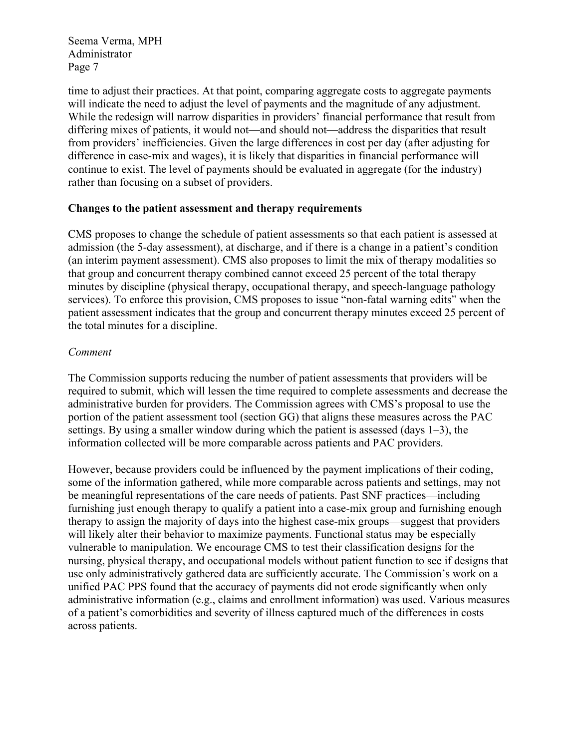time to adjust their practices. At that point, comparing aggregate costs to aggregate payments will indicate the need to adjust the level of payments and the magnitude of any adjustment. While the redesign will narrow disparities in providers' financial performance that result from differing mixes of patients, it would not—and should not—address the disparities that result from providers' inefficiencies. Given the large differences in cost per day (after adjusting for difference in case-mix and wages), it is likely that disparities in financial performance will continue to exist. The level of payments should be evaluated in aggregate (for the industry) rather than focusing on a subset of providers.

### **Changes to the patient assessment and therapy requirements**

CMS proposes to change the schedule of patient assessments so that each patient is assessed at admission (the 5-day assessment), at discharge, and if there is a change in a patient's condition (an interim payment assessment). CMS also proposes to limit the mix of therapy modalities so that group and concurrent therapy combined cannot exceed 25 percent of the total therapy minutes by discipline (physical therapy, occupational therapy, and speech-language pathology services). To enforce this provision, CMS proposes to issue "non-fatal warning edits" when the patient assessment indicates that the group and concurrent therapy minutes exceed 25 percent of the total minutes for a discipline.

### *Comment*

The Commission supports reducing the number of patient assessments that providers will be required to submit, which will lessen the time required to complete assessments and decrease the administrative burden for providers. The Commission agrees with CMS's proposal to use the portion of the patient assessment tool (section GG) that aligns these measures across the PAC settings. By using a smaller window during which the patient is assessed (days 1–3), the information collected will be more comparable across patients and PAC providers.

However, because providers could be influenced by the payment implications of their coding, some of the information gathered, while more comparable across patients and settings, may not be meaningful representations of the care needs of patients. Past SNF practices—including furnishing just enough therapy to qualify a patient into a case-mix group and furnishing enough therapy to assign the majority of days into the highest case-mix groups—suggest that providers will likely alter their behavior to maximize payments. Functional status may be especially vulnerable to manipulation. We encourage CMS to test their classification designs for the nursing, physical therapy, and occupational models without patient function to see if designs that use only administratively gathered data are sufficiently accurate. The Commission's work on a unified PAC PPS found that the accuracy of payments did not erode significantly when only administrative information (e.g., claims and enrollment information) was used. Various measures of a patient's comorbidities and severity of illness captured much of the differences in costs across patients.